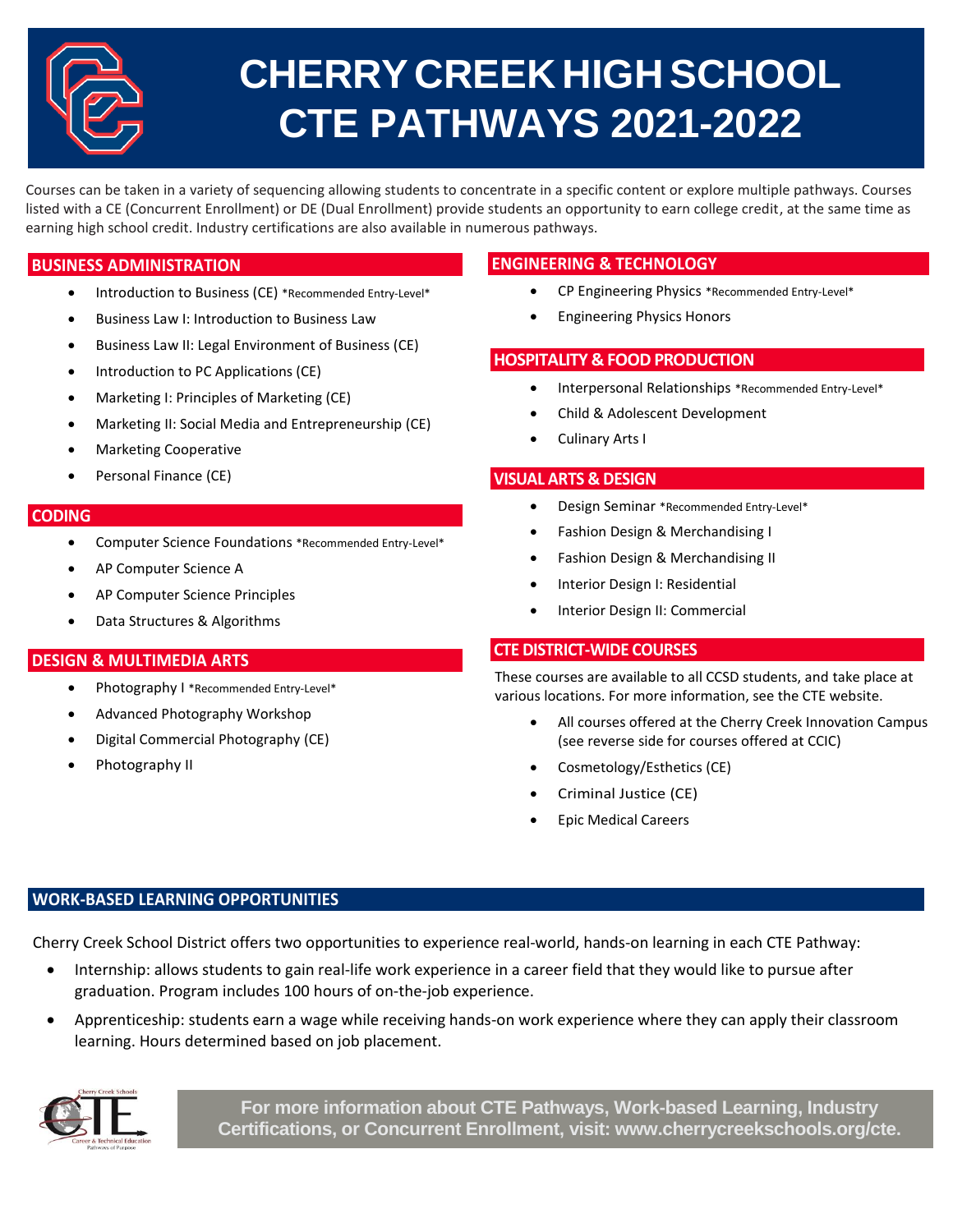

# **CHERRY CREEK HIGH SCHOOL CTE PATHWAYS 2021-2022**

 Courses can be taken in a variety of sequencing allowing students to concentrate in a specific content or explore multiple pathways. Courses listed with a CE (Concurrent Enrollment) or DE (Dual Enrollment) provide students an opportunity to earn college credit, at the same time as earning high school credit. Industry certifications are also available in numerous pathways.

## **BUSINESS ADMINISTRATION**

- Introduction to Business (CE) \*Recommended Entry-Level\*
- Business Law I: Introduction to Business Law
- Business Law II: Legal Environment of Business (CE)
- Introduction to PC Applications (CE)
- Marketing I: Principles of Marketing (CE)
- Marketing II: Social Media and Entrepreneurship (CE)
- Marketing Cooperative
- Personal Finance (CE)

### **CODING**

- Computer Science Foundations \*Recommended Entry-Level\*
- AP Computer Science A
- AP Computer Science Principles
- Data Structures & Algorithms

## **DESIGN & MULTIMEDIA ARTS**

- Photography I \*Recommended Entry-Level\*
- Advanced Photography Workshop
- Digital Commercial Photography (CE)
- Photography II

## **ENGINEERING & TECHNOLOGY**

- CP Engineering Physics \*Recommended Entry-Level\*
- Engineering Physics Honors

## **HOSPITALITY & FOOD PRODUCTION**

- Interpersonal Relationships \*Recommended Entry-Level\*
- Child & Adolescent Development
- Culinary Arts I

## **VISUAL ARTS & DESIGN**

- Design Seminar \*Recommended Entry-Level\*
- **•** Fashion Design & Merchandising I
- Fashion Design & Merchandising II
- Interior Design I: Residential
- Interior Design II: Commercial

## **CTE DISTRICT-WIDE COURSES**

These courses are available to all CCSD students, and take place at various locations. For more information, see the CTE website.

- All courses offered at the Cherry Creek Innovation Campus (see reverse side for courses offered at CCIC)
- Cosmetology/Esthetics (CE)
- Criminal Justice (CE)
- Epic Medical Careers

## **WORK-BASED LEARNING OPPORTUNITIES**

Cherry Creek School District offers two opportunities to experience real-world, hands-on learning in each CTE Pathway:

- Internship: allows students to gain real-life work experience in a career field that they would like to pursue after graduation. Program includes 100 hours of on-the-job experience.
- Apprenticeship: students earn a wage while receiving hands-on work experience where they can apply their classroom learning. Hours determined based on job placement.



**For more information about CTE Pathways, Work-based Learning, Industry Certifications, or Concurrent Enrollment, visit: www.cherrycreekschools.org/cte.**